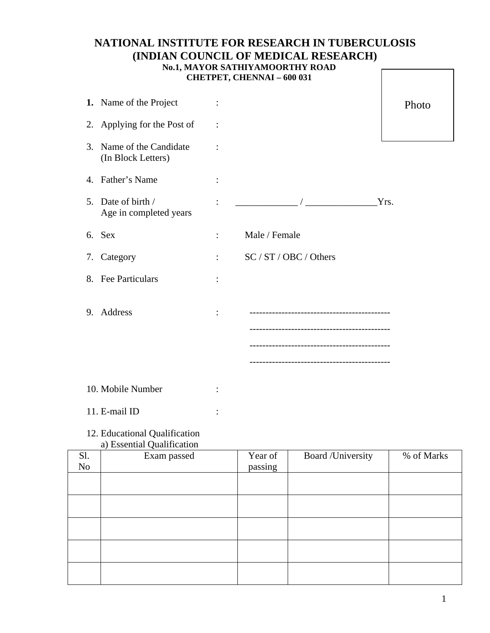### **NATIONAL INSTITUTE FOR RESEARCH IN TUBERCULOSIS (INDIAN COUNCIL OF MEDICAL RESEARCH) No.1, MAYOR SATHIYAMOORTHY ROAD CHETPET, CHENNAI – 600 031**

|    | 1. Name of the Project                       |                |                                 | Photo |
|----|----------------------------------------------|----------------|---------------------------------|-------|
|    | 2. Applying for the Post of                  |                |                                 |       |
| 3. | Name of the Candidate<br>(In Block Letters)  | $\ddot{\cdot}$ |                                 |       |
|    | 4. Father's Name                             |                |                                 |       |
|    | 5. Date of birth /<br>Age in completed years |                |                                 | Yrs.  |
|    | 6. Sex                                       | $\ddot{\cdot}$ | Male / Female                   |       |
|    | 7. Category                                  | $\ddot{\cdot}$ | SC / ST / OBC / Others          |       |
|    | 8. Fee Particulars                           | $\ddot{\cdot}$ |                                 |       |
| 9. | Address                                      | $\ddot{\cdot}$ | ------------------------------- |       |
|    |                                              |                |                                 |       |
|    |                                              |                |                                 |       |
|    | 10. Mobile Number                            |                |                                 |       |

11. E-mail ID :

## 12. Educational Qualification

#### a) Essential Qualification

| Sl.<br>No | Exam passed | Year of<br>passing | <b>Board /University</b> | % of Marks |
|-----------|-------------|--------------------|--------------------------|------------|
|           |             |                    |                          |            |
|           |             |                    |                          |            |
|           |             |                    |                          |            |
|           |             |                    |                          |            |
|           |             |                    |                          |            |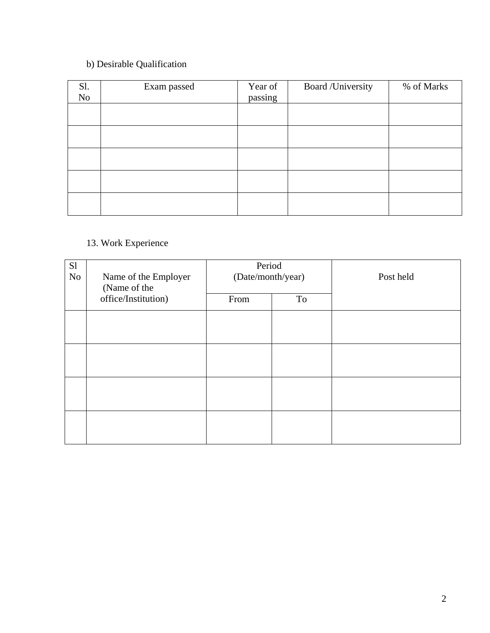# b) Desirable Qualification

| Sl.<br>N <sub>o</sub> | Exam passed | Year of<br>passing | <b>Board /University</b> | % of Marks |
|-----------------------|-------------|--------------------|--------------------------|------------|
|                       |             |                    |                          |            |
|                       |             |                    |                          |            |
|                       |             |                    |                          |            |
|                       |             |                    |                          |            |
|                       |             |                    |                          |            |

### 13. Work Experience

| S <sub>1</sub><br>No | Name of the Employer<br>(Name of the | Period<br>(Date/month/year) |    | Post held |
|----------------------|--------------------------------------|-----------------------------|----|-----------|
|                      | office/Institution)                  | From                        | To |           |
|                      |                                      |                             |    |           |
|                      |                                      |                             |    |           |
|                      |                                      |                             |    |           |
|                      |                                      |                             |    |           |
|                      |                                      |                             |    |           |
|                      |                                      |                             |    |           |
|                      |                                      |                             |    |           |
|                      |                                      |                             |    |           |